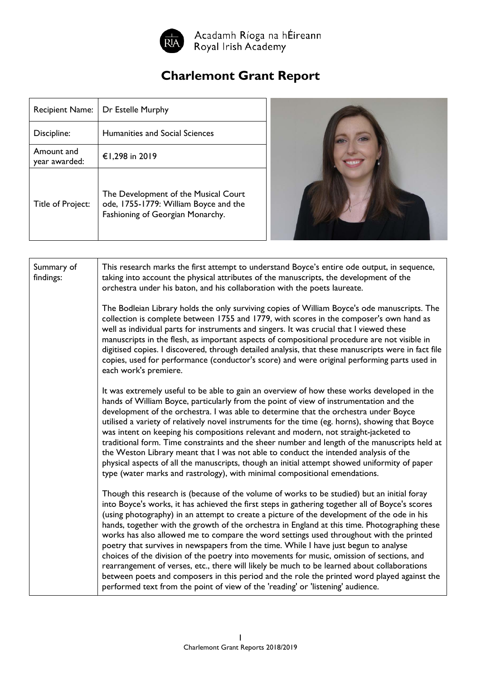

Acadamh Ríoga na hÉireann<br>Royal Irish Academy

## **Charlemont Grant Report**

| <b>Recipient Name:</b>      | Dr Estelle Murphy                                                                                                 |  |
|-----------------------------|-------------------------------------------------------------------------------------------------------------------|--|
| Discipline:                 | <b>Humanities and Social Sciences</b>                                                                             |  |
| Amount and<br>year awarded: | €1,298 in 2019                                                                                                    |  |
| Title of Project:           | The Development of the Musical Court<br>ode, 1755-1779: William Boyce and the<br>Fashioning of Georgian Monarchy. |  |



| Summary of<br>findings: | This research marks the first attempt to understand Boyce's entire ode output, in sequence,<br>taking into account the physical attributes of the manuscripts, the development of the<br>orchestra under his baton, and his collaboration with the poets laureate.                                                                                                                                                                                                                                                                                                                                                                                                                                                                                                                                                                                                                                                                                             |
|-------------------------|----------------------------------------------------------------------------------------------------------------------------------------------------------------------------------------------------------------------------------------------------------------------------------------------------------------------------------------------------------------------------------------------------------------------------------------------------------------------------------------------------------------------------------------------------------------------------------------------------------------------------------------------------------------------------------------------------------------------------------------------------------------------------------------------------------------------------------------------------------------------------------------------------------------------------------------------------------------|
|                         | The Bodleian Library holds the only surviving copies of William Boyce's ode manuscripts. The<br>collection is complete between 1755 and 1779, with scores in the composer's own hand as<br>well as individual parts for instruments and singers. It was crucial that I viewed these<br>manuscripts in the flesh, as important aspects of compositional procedure are not visible in<br>digitised copies. I discovered, through detailed analysis, that these manuscripts were in fact file<br>copies, used for performance (conductor's score) and were original performing parts used in<br>each work's premiere.                                                                                                                                                                                                                                                                                                                                             |
|                         | It was extremely useful to be able to gain an overview of how these works developed in the<br>hands of William Boyce, particularly from the point of view of instrumentation and the<br>development of the orchestra. I was able to determine that the orchestra under Boyce<br>utilised a variety of relatively novel instruments for the time (eg. horns), showing that Boyce<br>was intent on keeping his compositions relevant and modern, not straight-jacketed to<br>traditional form. Time constraints and the sheer number and length of the manuscripts held at<br>the Weston Library meant that I was not able to conduct the intended analysis of the<br>physical aspects of all the manuscripts, though an initial attempt showed uniformity of paper<br>type (water marks and rastrology), with minimal compositional emendations.                                                                                                                |
|                         | Though this research is (because of the volume of works to be studied) but an initial foray<br>into Boyce's works, it has achieved the first steps in gathering together all of Boyce's scores<br>(using photography) in an attempt to create a picture of the development of the ode in his<br>hands, together with the growth of the orchestra in England at this time. Photographing these<br>works has also allowed me to compare the word settings used throughout with the printed<br>poetry that survives in newspapers from the time. While I have just begun to analyse<br>choices of the division of the poetry into movements for music, omission of sections, and<br>rearrangement of verses, etc., there will likely be much to be learned about collaborations<br>between poets and composers in this period and the role the printed word played against the<br>performed text from the point of view of the 'reading' or 'listening' audience. |